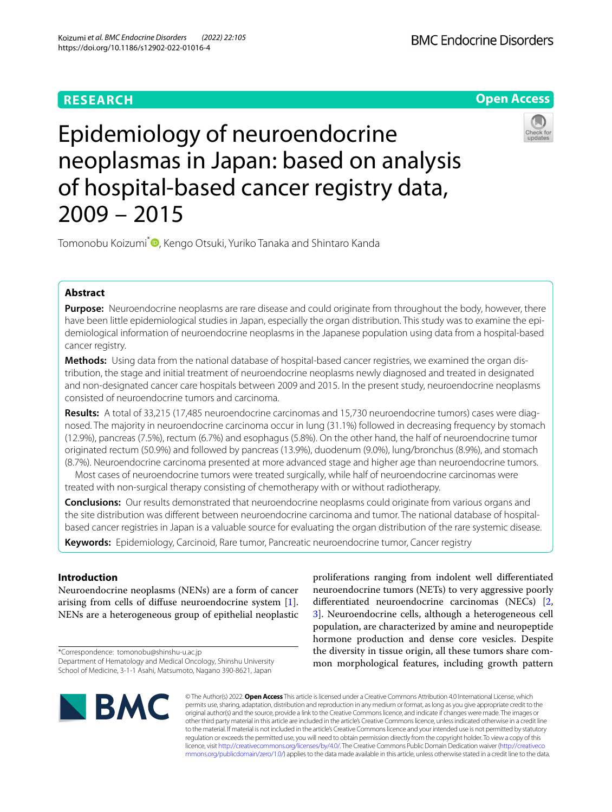## **RESEARCH**



# Epidemiology of neuroendocrine neoplasmas in Japan: based on analysis of hospital-based cancer registry data, 2009 – 2015



Tomonobu Koizumi<sup>\*</sup> **D**[,](http://orcid.org/0000-0002-5182-0960) Kengo Otsuki, Yuriko Tanaka and Shintaro Kanda

## **Abstract**

**Purpose:** Neuroendocrine neoplasms are rare disease and could originate from throughout the body, however, there have been little epidemiological studies in Japan, especially the organ distribution. This study was to examine the epidemiological information of neuroendocrine neoplasms in the Japanese population using data from a hospital-based cancer registry.

**Methods:** Using data from the national database of hospital-based cancer registries, we examined the organ distribution, the stage and initial treatment of neuroendocrine neoplasms newly diagnosed and treated in designated and non-designated cancer care hospitals between 2009 and 2015. In the present study, neuroendocrine neoplasms consisted of neuroendocrine tumors and carcinoma.

**Results:** A total of 33,215 (17,485 neuroendocrine carcinomas and 15,730 neuroendocrine tumors) cases were diagnosed. The majority in neuroendocrine carcinoma occur in lung (31.1%) followed in decreasing frequency by stomach (12.9%), pancreas (7.5%), rectum (6.7%) and esophagus (5.8%). On the other hand, the half of neuroendocrine tumor originated rectum (50.9%) and followed by pancreas (13.9%), duodenum (9.0%), lung/bronchus (8.9%), and stomach (8.7%). Neuroendocrine carcinoma presented at more advanced stage and higher age than neuroendocrine tumors.

Most cases of neuroendocrine tumors were treated surgically, while half of neuroendocrine carcinomas were treated with non-surgical therapy consisting of chemotherapy with or without radiotherapy.

**Conclusions:** Our results demonstrated that neuroendocrine neoplasms could originate from various organs and the site distribution was diferent between neuroendocrine carcinoma and tumor. The national database of hospitalbased cancer registries in Japan is a valuable source for evaluating the organ distribution of the rare systemic disease.

**Keywords:** Epidemiology, Carcinoid, Rare tumor, Pancreatic neuroendocrine tumor, Cancer registry

## **Introduction**

Neuroendocrine neoplasms (NENs) are a form of cancer arising from cells of difuse neuroendocrine system [\[1](#page-6-0)]. NENs are a heterogeneous group of epithelial neoplastic

\*Correspondence: tomonobu@shinshu-u.ac.jp Department of Hematology and Medical Oncology, Shinshu University School of Medicine, 3-1-1 Asahi, Matsumoto, Nagano 390-8621, Japan

proliferations ranging from indolent well diferentiated neuroendocrine tumors (NETs) to very aggressive poorly diferentiated neuroendocrine carcinomas (NECs) [\[2](#page-6-1), [3\]](#page-6-2). Neuroendocrine cells, although a heterogeneous cell population, are characterized by amine and neuropeptide hormone production and dense core vesicles. Despite the diversity in tissue origin, all these tumors share common morphological features, including growth pattern



© The Author(s) 2022. **Open Access** This article is licensed under a Creative Commons Attribution 4.0 International License, which permits use, sharing, adaptation, distribution and reproduction in any medium or format, as long as you give appropriate credit to the original author(s) and the source, provide a link to the Creative Commons licence, and indicate if changes were made. The images or other third party material in this article are included in the article's Creative Commons licence, unless indicated otherwise in a credit line to the material. If material is not included in the article's Creative Commons licence and your intended use is not permitted by statutory regulation or exceeds the permitted use, you will need to obtain permission directly from the copyright holder. To view a copy of this licence, visit [http://creativecommons.org/licenses/by/4.0/.](http://creativecommons.org/licenses/by/4.0/) The Creative Commons Public Domain Dedication waiver ([http://creativeco](http://creativecommons.org/publicdomain/zero/1.0/) [mmons.org/publicdomain/zero/1.0/](http://creativecommons.org/publicdomain/zero/1.0/)) applies to the data made available in this article, unless otherwise stated in a credit line to the data.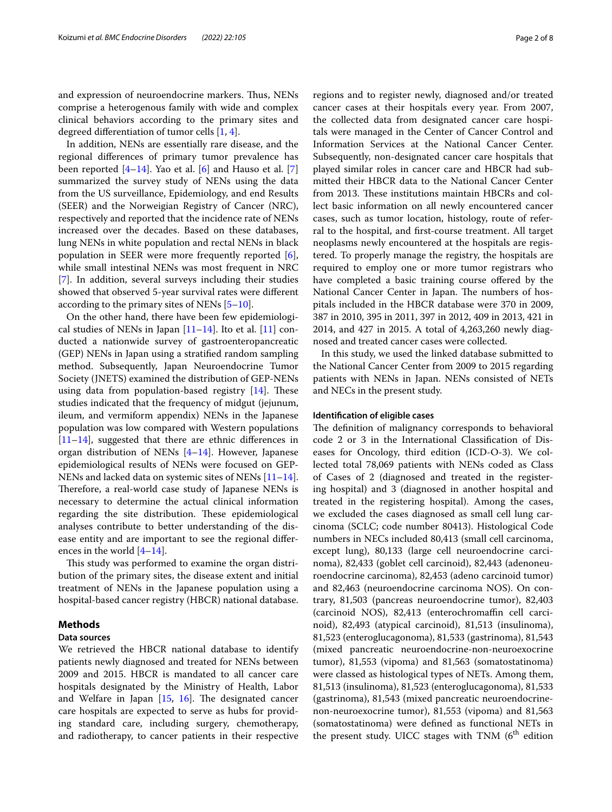and expression of neuroendocrine markers. Thus, NENs comprise a heterogenous family with wide and complex clinical behaviors according to the primary sites and degreed diferentiation of tumor cells [[1,](#page-6-0) [4](#page-6-3)].

In addition, NENs are essentially rare disease, and the regional diferences of primary tumor prevalence has been reported  $[4-14]$  $[4-14]$ . Yao et al.  $[6]$  $[6]$  and Hauso et al.  $[7]$  $[7]$ summarized the survey study of NENs using the data from the US surveillance, Epidemiology, and end Results (SEER) and the Norweigian Registry of Cancer (NRC), respectively and reported that the incidence rate of NENs increased over the decades. Based on these databases, lung NENs in white population and rectal NENs in black population in SEER were more frequently reported [\[6](#page-6-5)], while small intestinal NENs was most frequent in NRC [[7\]](#page-6-6). In addition, several surveys including their studies showed that observed 5-year survival rates were diferent according to the primary sites of NENs [[5–](#page-6-7)[10\]](#page-6-8).

On the other hand, there have been few epidemiological studies of NENs in Japan  $[11–14]$  $[11–14]$  $[11–14]$ . Ito et al.  $[11]$  $[11]$  conducted a nationwide survey of gastroenteropancreatic (GEP) NENs in Japan using a stratifed random sampling method. Subsequently, Japan Neuroendocrine Tumor Society (JNETS) examined the distribution of GEP-NENs using data from population-based registry  $[14]$  $[14]$ . These studies indicated that the frequency of midgut (jejunum, ileum, and vermiform appendix) NENs in the Japanese population was low compared with Western populations [[11–](#page-6-9)[14](#page-6-4)], suggested that there are ethnic diferences in organ distribution of NENs [[4–](#page-6-3)[14](#page-6-4)]. However, Japanese epidemiological results of NENs were focused on GEP-NENs and lacked data on systemic sites of NENs [[11](#page-6-9)[–14](#page-6-4)]. Therefore, a real-world case study of Japanese NENs is necessary to determine the actual clinical information regarding the site distribution. These epidemiological analyses contribute to better understanding of the disease entity and are important to see the regional diferences in the world  $[4-14]$  $[4-14]$ .

This study was performed to examine the organ distribution of the primary sites, the disease extent and initial treatment of NENs in the Japanese population using a hospital-based cancer registry (HBCR) national database.

#### **Methods**

## **Data sources**

We retrieved the HBCR national database to identify patients newly diagnosed and treated for NENs between 2009 and 2015. HBCR is mandated to all cancer care hospitals designated by the Ministry of Health, Labor and Welfare in Japan  $[15, 16]$  $[15, 16]$  $[15, 16]$  $[15, 16]$ . The designated cancer care hospitals are expected to serve as hubs for providing standard care, including surgery, chemotherapy, and radiotherapy, to cancer patients in their respective regions and to register newly, diagnosed and/or treated cancer cases at their hospitals every year. From 2007, the collected data from designated cancer care hospitals were managed in the Center of Cancer Control and Information Services at the National Cancer Center. Subsequently, non-designated cancer care hospitals that played similar roles in cancer care and HBCR had submitted their HBCR data to the National Cancer Center from 2013. These institutions maintain HBCRs and collect basic information on all newly encountered cancer cases, such as tumor location, histology, route of referral to the hospital, and frst-course treatment. All target neoplasms newly encountered at the hospitals are registered. To properly manage the registry, the hospitals are required to employ one or more tumor registrars who have completed a basic training course offered by the National Cancer Center in Japan. The numbers of hospitals included in the HBCR database were 370 in 2009, 387 in 2010, 395 in 2011, 397 in 2012, 409 in 2013, 421 in 2014, and 427 in 2015. A total of 4,263,260 newly diagnosed and treated cancer cases were collected.

In this study, we used the linked database submitted to the National Cancer Center from 2009 to 2015 regarding patients with NENs in Japan. NENs consisted of NETs and NECs in the present study.

## **Identifcation of eligible cases**

The definition of malignancy corresponds to behavioral code 2 or 3 in the International Classifcation of Diseases for Oncology, third edition (ICD-O-3). We collected total 78,069 patients with NENs coded as Class of Cases of 2 (diagnosed and treated in the registering hospital) and 3 (diagnosed in another hospital and treated in the registering hospital). Among the cases, we excluded the cases diagnosed as small cell lung carcinoma (SCLC; code number 80413). Histological Code numbers in NECs included 80,413 (small cell carcinoma, except lung), 80,133 (large cell neuroendocrine carcinoma), 82,433 (goblet cell carcinoid), 82,443 (adenoneuroendocrine carcinoma), 82,453 (adeno carcinoid tumor) and 82,463 (neuroendocrine carcinoma NOS). On contrary, 81,503 (pancreas neuroendocrine tumor), 82,403 (carcinoid NOS), 82,413 (enterochromafn cell carcinoid), 82,493 (atypical carcinoid), 81,513 (insulinoma), 81,523 (enteroglucagonoma), 81,533 (gastrinoma), 81,543 (mixed pancreatic neuroendocrine-non-neuroexocrine tumor), 81,553 (vipoma) and 81,563 (somatostatinoma) were classed as histological types of NETs. Among them, 81,513 (insulinoma), 81,523 (enteroglucagonoma), 81,533 (gastrinoma), 81,543 (mixed pancreatic neuroendocrinenon-neuroexocrine tumor), 81,553 (vipoma) and 81,563 (somatostatinoma) were defned as functional NETs in the present study. UICC stages with TNM  $(6<sup>th</sup>$  edition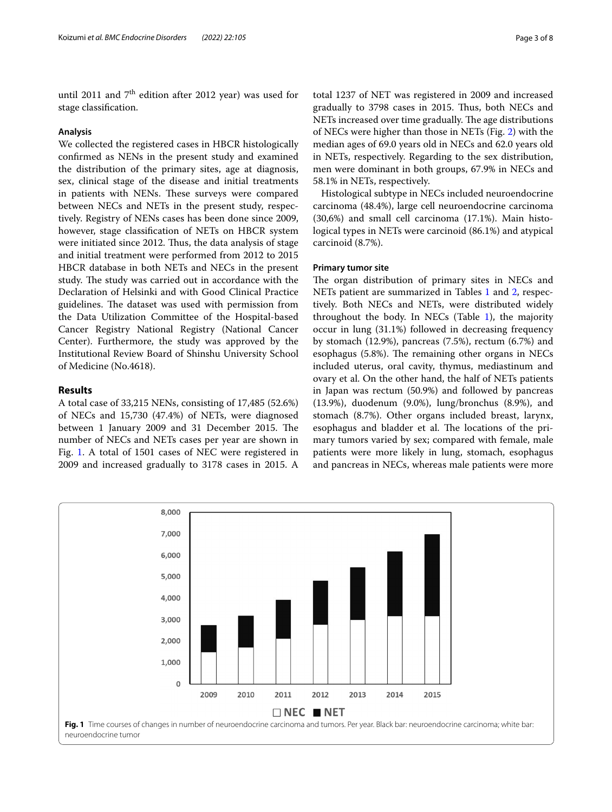until 2011 and  $7<sup>th</sup>$  edition after 2012 year) was used for stage classifcation.

## **Analysis**

We collected the registered cases in HBCR histologically confrmed as NENs in the present study and examined the distribution of the primary sites, age at diagnosis, sex, clinical stage of the disease and initial treatments in patients with NENs. These surveys were compared between NECs and NETs in the present study, respectively. Registry of NENs cases has been done since 2009, however, stage classifcation of NETs on HBCR system were initiated since 2012. Thus, the data analysis of stage and initial treatment were performed from 2012 to 2015 HBCR database in both NETs and NECs in the present study. The study was carried out in accordance with the Declaration of Helsinki and with Good Clinical Practice guidelines. The dataset was used with permission from the Data Utilization Committee of the Hospital-based Cancer Registry National Registry (National Cancer Center). Furthermore, the study was approved by the Institutional Review Board of Shinshu University School of Medicine (No.4618).

## **Results**

A total case of 33,215 NENs, consisting of 17,485 (52.6%) of NECs and 15,730 (47.4%) of NETs, were diagnosed between 1 January 2009 and 31 December 2015. The number of NECs and NETs cases per year are shown in Fig. [1](#page-2-0). A total of 1501 cases of NEC were registered in 2009 and increased gradually to 3178 cases in 2015. A total 1237 of NET was registered in 2009 and increased gradually to 3798 cases in 2015. Thus, both NECs and NETs increased over time gradually. The age distributions of NECs were higher than those in NETs (Fig. [2](#page-3-0)) with the median ages of 69.0 years old in NECs and 62.0 years old in NETs, respectively. Regarding to the sex distribution, men were dominant in both groups, 67.9% in NECs and 58.1% in NETs, respectively.

Histological subtype in NECs included neuroendocrine carcinoma (48.4%), large cell neuroendocrine carcinoma (30,6%) and small cell carcinoma (17.1%). Main histological types in NETs were carcinoid (86.1%) and atypical carcinoid (8.7%).

## **Primary tumor site**

The organ distribution of primary sites in NECs and NETs patient are summarized in Tables [1](#page-3-1) and [2](#page-4-0), respectively. Both NECs and NETs, were distributed widely throughout the body. In NECs (Table  $1$ ), the majority occur in lung (31.1%) followed in decreasing frequency by stomach (12.9%), pancreas (7.5%), rectum (6.7%) and esophagus (5.8%). The remaining other organs in NECs included uterus, oral cavity, thymus, mediastinum and ovary et al. On the other hand, the half of NETs patients in Japan was rectum (50.9%) and followed by pancreas (13.9%), duodenum (9.0%), lung/bronchus (8.9%), and stomach (8.7%). Other organs included breast, larynx, esophagus and bladder et al. The locations of the primary tumors varied by sex; compared with female, male patients were more likely in lung, stomach, esophagus and pancreas in NECs, whereas male patients were more

<span id="page-2-0"></span>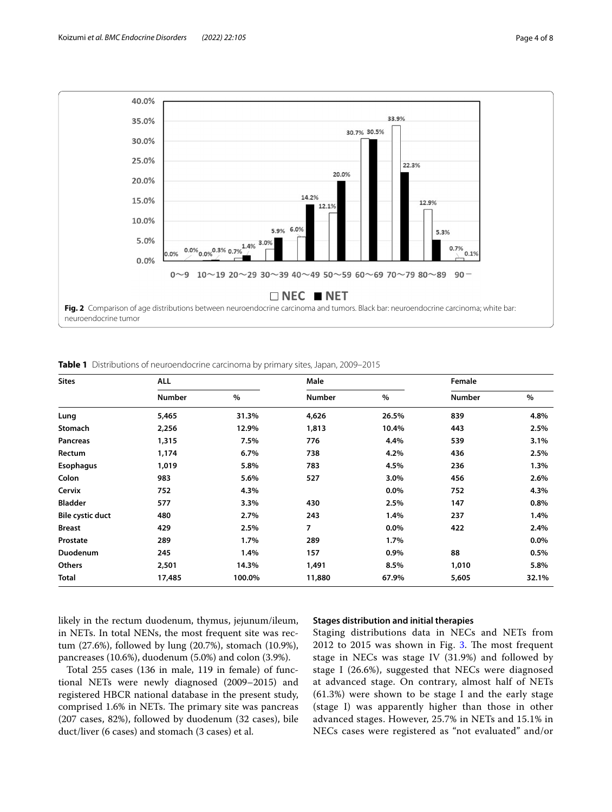

<span id="page-3-1"></span><span id="page-3-0"></span>**Table 1** Distributions of neuroendocrine carcinoma by primary sites, Japan, 2009–2015

| <b>Sites</b>            | <b>ALL</b>    |        | Male          |         | Female        |         |
|-------------------------|---------------|--------|---------------|---------|---------------|---------|
|                         | <b>Number</b> | %      | <b>Number</b> | $\%$    | <b>Number</b> | $\%$    |
| Lung                    | 5,465         | 31.3%  | 4,626         | 26.5%   | 839           | 4.8%    |
| Stomach                 | 2,256         | 12.9%  | 1,813         | 10.4%   | 443           | 2.5%    |
| Pancreas                | 1,315         | 7.5%   | 776           | 4.4%    | 539           | 3.1%    |
| Rectum                  | 1,174         | 6.7%   | 738           | 4.2%    | 436           | 2.5%    |
| Esophagus               | 1,019         | 5.8%   | 783           | 4.5%    | 236           | 1.3%    |
| Colon                   | 983           | 5.6%   | 527           | $3.0\%$ | 456           | 2.6%    |
| Cervix                  | 752           | 4.3%   |               | $0.0\%$ | 752           | 4.3%    |
| <b>Bladder</b>          | 577           | 3.3%   | 430           | 2.5%    | 147           | 0.8%    |
| <b>Bile cystic duct</b> | 480           | 2.7%   | 243           | 1.4%    | 237           | 1.4%    |
| <b>Breast</b>           | 429           | 2.5%   | 7             | $0.0\%$ | 422           | 2.4%    |
| Prostate                | 289           | 1.7%   | 289           | $1.7\%$ |               | $0.0\%$ |
| Duodenum                | 245           | 1.4%   | 157           | 0.9%    | 88            | 0.5%    |
| <b>Others</b>           | 2,501         | 14.3%  | 1,491         | 8.5%    | 1,010         | 5.8%    |
| Total                   | 17,485        | 100.0% | 11,880        | 67.9%   | 5,605         | 32.1%   |

likely in the rectum duodenum, thymus, jejunum/ileum, in NETs. In total NENs, the most frequent site was rectum (27.6%), followed by lung (20.7%), stomach (10.9%), pancreases (10.6%), duodenum (5.0%) and colon (3.9%).

## Total 255 cases (136 in male, 119 in female) of functional NETs were newly diagnosed (2009–2015) and registered HBCR national database in the present study, comprised 1.6% in NETs. The primary site was pancreas (207 cases, 82%), followed by duodenum (32 cases), bile duct/liver (6 cases) and stomach (3 cases) et al.

## **Stages distribution and initial therapies**

Staging distributions data in NECs and NETs from  $2012$  to  $2015$  was shown in Fig. [3](#page-4-1). The most frequent stage in NECs was stage IV (31.9%) and followed by stage I (26.6%), suggested that NECs were diagnosed at advanced stage. On contrary, almost half of NETs (61.3%) were shown to be stage I and the early stage (stage I) was apparently higher than those in other advanced stages. However, 25.7% in NETs and 15.1% in NECs cases were registered as "not evaluated" and/or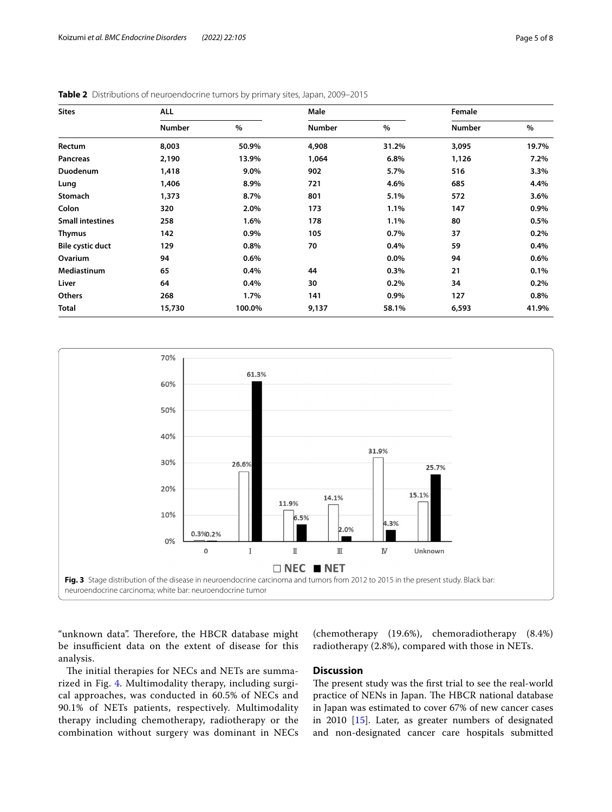| <b>Sites</b>            | <b>ALL</b> |        | Male   |         | Female        |         |
|-------------------------|------------|--------|--------|---------|---------------|---------|
|                         | Number     | $\%$   | Number | $\%$    | <b>Number</b> | $\%$    |
| Rectum                  | 8,003      | 50.9%  | 4,908  | 31.2%   | 3,095         | 19.7%   |
| Pancreas                | 2,190      | 13.9%  | 1,064  | 6.8%    | 1,126         | 7.2%    |
| Duodenum                | 1,418      | 9.0%   | 902    | 5.7%    | 516           | 3.3%    |
| Lung                    | 1,406      | 8.9%   | 721    | 4.6%    | 685           | 4.4%    |
| Stomach                 | 1,373      | 8.7%   | 801    | 5.1%    | 572           | 3.6%    |
| Colon                   | 320        | 2.0%   | 173    | 1.1%    | 147           | $0.9\%$ |
| <b>Small intestines</b> | 258        | 1.6%   | 178    | 1.1%    | 80            | 0.5%    |
| Thymus                  | 142        | 0.9%   | 105    | 0.7%    | 37            | 0.2%    |
| <b>Bile cystic duct</b> | 129        | 0.8%   | 70     | 0.4%    | 59            | 0.4%    |
| Ovarium                 | 94         | 0.6%   |        | $0.0\%$ | 94            | 0.6%    |
| <b>Mediastinum</b>      | 65         | 0.4%   | 44     | 0.3%    | 21            | 0.1%    |
| Liver                   | 64         | 0.4%   | 30     | 0.2%    | 34            | 0.2%    |
| Others                  | 268        | 1.7%   | 141    | 0.9%    | 127           | 0.8%    |
| Total                   | 15,730     | 100.0% | 9,137  | 58.1%   | 6,593         | 41.9%   |

<span id="page-4-0"></span>



<span id="page-4-1"></span>"unknown data". Therefore, the HBCR database might be insufficient data on the extent of disease for this analysis.

(chemotherapy (19.6%), chemoradiotherapy (8.4%) radiotherapy (2.8%), compared with those in NETs.

The initial therapies for NECs and NETs are summarized in Fig. [4.](#page-5-0) Multimodality therapy, including surgical approaches, was conducted in 60.5% of NECs and 90.1% of NETs patients, respectively. Multimodality therapy including chemotherapy, radiotherapy or the combination without surgery was dominant in NECs

## **Discussion**

The present study was the first trial to see the real-world practice of NENs in Japan. The HBCR national database in Japan was estimated to cover 67% of new cancer cases in 2010 [\[15](#page-6-10)]. Later, as greater numbers of designated and non-designated cancer care hospitals submitted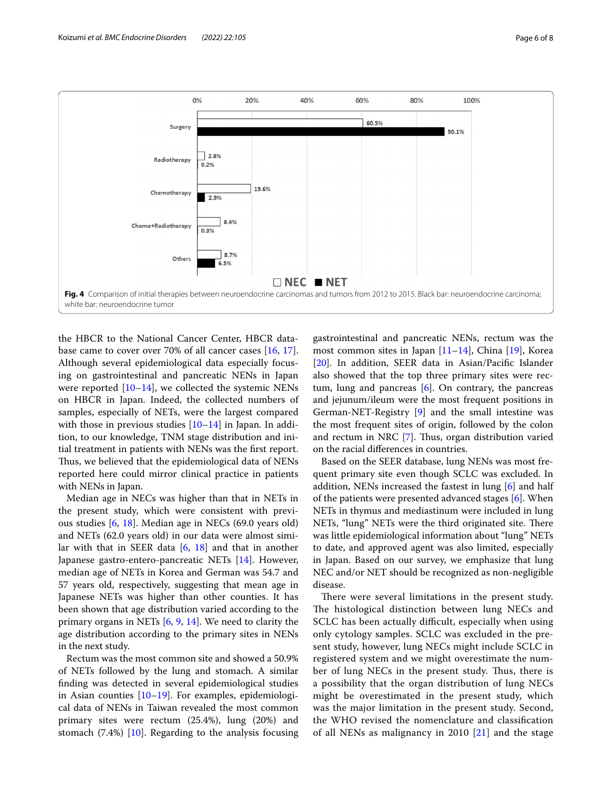

<span id="page-5-0"></span>the HBCR to the National Cancer Center, HBCR database came to cover over 70% of all cancer cases [\[16](#page-6-11), [17](#page-6-12)]. Although several epidemiological data especially focusing on gastrointestinal and pancreatic NENs in Japan were reported  $[10-14]$  $[10-14]$  $[10-14]$ , we collected the systemic NENs on HBCR in Japan. Indeed, the collected numbers of samples, especially of NETs, were the largest compared with those in previous studies  $[10-14]$  $[10-14]$  in Japan. In addition, to our knowledge, TNM stage distribution and initial treatment in patients with NENs was the frst report. Thus, we believed that the epidemiological data of NENs reported here could mirror clinical practice in patients with NENs in Japan.

Median age in NECs was higher than that in NETs in the present study, which were consistent with previous studies [[6,](#page-6-5) [18](#page-6-13)]. Median age in NECs (69.0 years old) and NETs (62.0 years old) in our data were almost similar with that in SEER data [\[6](#page-6-5), [18](#page-6-13)] and that in another Japanese gastro-entero-pancreatic NETs [\[14](#page-6-4)]. However, median age of NETs in Korea and German was 54.7 and 57 years old, respectively, suggesting that mean age in Japanese NETs was higher than other counties. It has been shown that age distribution varied according to the primary organs in NETs [[6](#page-6-5), [9](#page-6-14), [14](#page-6-4)]. We need to clarity the age distribution according to the primary sites in NENs in the next study.

Rectum was the most common site and showed a 50.9% of NETs followed by the lung and stomach. A similar fnding was detected in several epidemiological studies in Asian counties  $[10-19]$  $[10-19]$ . For examples, epidemiological data of NENs in Taiwan revealed the most common primary sites were rectum (25.4%), lung (20%) and stomach (7.4%) [\[10](#page-6-8)]. Regarding to the analysis focusing

gastrointestinal and pancreatic NENs, rectum was the most common sites in Japan [\[11–](#page-6-9)[14\]](#page-6-4), China [[19](#page-6-15)], Korea [[20\]](#page-7-0). In addition, SEER data in Asian/Pacifc Islander also showed that the top three primary sites were rectum, lung and pancreas  $[6]$  $[6]$ . On contrary, the pancreas and jejunum/ileum were the most frequent positions in German-NET-Registry [\[9](#page-6-14)] and the small intestine was the most frequent sites of origin, followed by the colon and rectum in NRC [[7\]](#page-6-6). Thus, organ distribution varied on the racial diferences in countries.

Based on the SEER database, lung NENs was most frequent primary site even though SCLC was excluded. In addition, NENs increased the fastest in lung [[6\]](#page-6-5) and half of the patients were presented advanced stages [[6\]](#page-6-5). When NETs in thymus and mediastinum were included in lung NETs, "lung" NETs were the third originated site. There was little epidemiological information about "lung" NETs to date, and approved agent was also limited, especially in Japan. Based on our survey, we emphasize that lung NEC and/or NET should be recognized as non-negligible disease.

There were several limitations in the present study. The histological distinction between lung NECs and SCLC has been actually difficult, especially when using only cytology samples. SCLC was excluded in the present study, however, lung NECs might include SCLC in registered system and we might overestimate the number of lung NECs in the present study. Thus, there is a possibility that the organ distribution of lung NECs might be overestimated in the present study, which was the major limitation in the present study. Second, the WHO revised the nomenclature and classifcation of all NENs as malignancy in 2010 [[21\]](#page-7-1) and the stage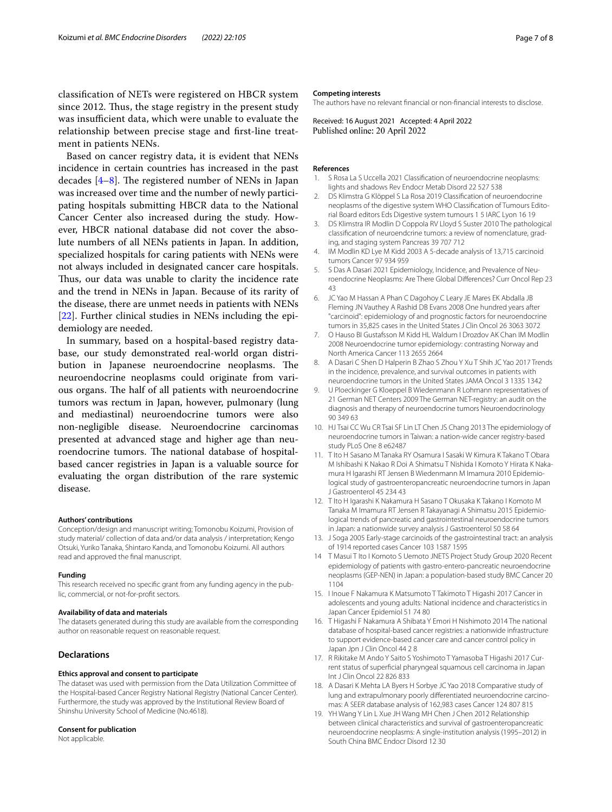Based on cancer registry data, it is evident that NENs incidence in certain countries has increased in the past decades  $[4-8]$  $[4-8]$  $[4-8]$ . The registered number of NENs in Japan was increased over time and the number of newly participating hospitals submitting HBCR data to the National Cancer Center also increased during the study. However, HBCR national database did not cover the absolute numbers of all NENs patients in Japan. In addition, specialized hospitals for caring patients with NENs were not always included in designated cancer care hospitals. Thus, our data was unable to clarity the incidence rate and the trend in NENs in Japan. Because of its rarity of the disease, there are unmet needs in patients with NENs [[22\]](#page-7-2). Further clinical studies in NENs including the epidemiology are needed.

In summary, based on a hospital-based registry database, our study demonstrated real-world organ distribution in Japanese neuroendocrine neoplasms. The neuroendocrine neoplasms could originate from various organs. The half of all patients with neuroendocrine tumors was rectum in Japan, however, pulmonary (lung and mediastinal) neuroendocrine tumors were also non-negligible disease. Neuroendocrine carcinomas presented at advanced stage and higher age than neuroendocrine tumors. The national database of hospitalbased cancer registries in Japan is a valuable source for evaluating the organ distribution of the rare systemic disease.

#### **Authors' contributions**

Conception/design and manuscript writing; Tomonobu Koizumi, Provision of study material/ collection of data and/or data analysis / interpretation; Kengo Otsuki, Yuriko Tanaka, Shintaro Kanda, and Tomonobu Koizumi. All authors read and approved the fnal manuscript.

#### **Funding**

This research received no specifc grant from any funding agency in the public, commercial, or not-for-proft sectors.

#### **Availability of data and materials**

The datasets generated during this study are available from the corresponding author on reasonable request on reasonable request.

## **Declarations**

#### **Ethics approval and consent to participate**

The dataset was used with permission from the Data Utilization Committee of the Hospital-based Cancer Registry National Registry (National Cancer Center). Furthermore, the study was approved by the Institutional Review Board of Shinshu University School of Medicine (No.4618).

#### **Consent for publication**

Not applicable.

#### **Competing interests**

The authors have no relevant fnancial or non-fnancial interests to disclose.

Received: 16 August 2021 Accepted: 4 April 2022

#### **References**

- <span id="page-6-0"></span>S Rosa La S Uccella 2021 Classification of neuroendocrine neoplasms: lights and shadows Rev Endocr Metab Disord 22 527 538
- <span id="page-6-1"></span>2. DS Klimstra G Klöppel S La Rosa 2019 Classifcation of neuroendocrine neoplasms of the digestive system WHO Classifcation of Tumours Editorial Board editors Eds Digestive system tumours 1 5 IARC Lyon 16 19
- <span id="page-6-2"></span>3. DS Klimstra IR Modlin D Coppola RV Lloyd S Suster 2010 The pathological classifcation of neuroendcrine tumors: a review of nomenclature, grading, and staging system Pancreas 39 707 712
- <span id="page-6-3"></span>4. IM Modlin KD Lye M Kidd 2003 A 5-decade analysis of 13,715 carcinoid tumors Cancer 97 934 959
- <span id="page-6-7"></span>5. S Das A Dasari 2021 Epidemiology, Incidence, and Prevalence of Neuroendocrine Neoplasms: Are There Global Diferences? Curr Oncol Rep 23 43
- <span id="page-6-5"></span>6. JC Yao M Hassan A Phan C Dagohoy C Leary JE Mares EK Abdalla JB Fleming JN Vauthey A Rashid DB Evans 2008 One hundred years after "carcinoid": epidemiology of and prognostic factors for neuroendocrine tumors in 35,825 cases in the United States J Clin Oncol 26 3063 3072
- <span id="page-6-6"></span>7. O Hauso BI Gustafsson M Kidd HL Waldum I Drozdov AK Chan IM Modlin 2008 Neuroendocrine tumor epidemiology: contrasting Norway and North America Cancer 113 2655 2664
- <span id="page-6-16"></span>8. A Dasari C Shen D Halperin B Zhao S Zhou Y Xu T Shih JC Yao 2017 Trends in the incidence, prevalence, and survival outcomes in patients with neuroendocrine tumors in the United States JAMA Oncol 3 1335 1342
- <span id="page-6-14"></span>9. U Ploeckinger G Kloeppel B Wiedenmann R Lohmann representatives of 21 German NET Centers 2009 The German NET-registry: an audit on the diagnosis and therapy of neuroendocrine tumors Neuroendocrinology 90 349 63
- <span id="page-6-8"></span>10. HJ Tsai CC Wu CR Tsai SF Lin LT Chen JS Chang 2013 The epidemiology of neuroendocrine tumors in Taiwan: a nation-wide cancer registry-based study PLoS One 8 e62487
- <span id="page-6-9"></span>11. T Ito H Sasano M Tanaka RY Osamura I Sasaki W Kimura K Takano T Obara M Ishibashi K Nakao R Doi A Shimatsu T Nishida I Komoto Y Hirata K Nakamura H Igarashi RT Jensen B Wiedenmann M Imamura 2010 Epidemiological study of gastroenteropancreatic neuroendocrine tumors in Japan J Gastroenterol 45 234 43
- 12. T Ito H Igarashi K Nakamura H Sasano T Okusaka K Takano I Komoto M Tanaka M Imamura RT Jensen R Takayanagi A Shimatsu 2015 Epidemiological trends of pancreatic and gastrointestinal neuroendocrine tumors in Japan: a nationwide survey analysis J Gastroenterol 50 58 64
- 13. J Soga 2005 Early-stage carcinoids of the gastrointestinal tract: an analysis of 1914 reported cases Cancer 103 1587 1595
- <span id="page-6-4"></span>14 T Masui T Ito I Komoto S Uemoto JNETS Project Study Group 2020 Recent epidemiology of patients with gastro-entero-pancreatic neuroendocrine neoplasms (GEP-NEN) in Japan: a population-based study BMC Cancer 20 1104
- <span id="page-6-10"></span>15. I Inoue F Nakamura K Matsumoto T Takimoto T Higashi 2017 Cancer in adolescents and young adults: National incidence and characteristics in Japan Cancer Epidemiol 51 74 80
- <span id="page-6-11"></span>16. T Higashi F Nakamura A Shibata Y Emori H Nishimoto 2014 The national database of hospital-based cancer registries: a nationwide infrastructure to support evidence-based cancer care and cancer control policy in Japan Jpn J Clin Oncol 44 2 8
- <span id="page-6-12"></span>17. R Rikitake M Ando Y Saito S Yoshimoto T Yamasoba T Higashi 2017 Current status of superfcial pharyngeal squamous cell carcinoma in Japan Int J Clin Oncol 22 826 833
- <span id="page-6-13"></span>18. A Dasari K Mehta LA Byers H Sorbye JC Yao 2018 Comparative study of lung and extrapulmonary poorly diferentiated neuroendocrine carcinomas: A SEER database analysis of 162,983 cases Cancer 124 807 815
- <span id="page-6-15"></span>19. YH Wang Y Lin L Xue JH Wang MH Chen J Chen 2012 Relationship between clinical characteristics and survival of gastroenteropancreatic neuroendocrine neoplasms: A single-institution analysis (1995–2012) in South China BMC Endocr Disord 12 30